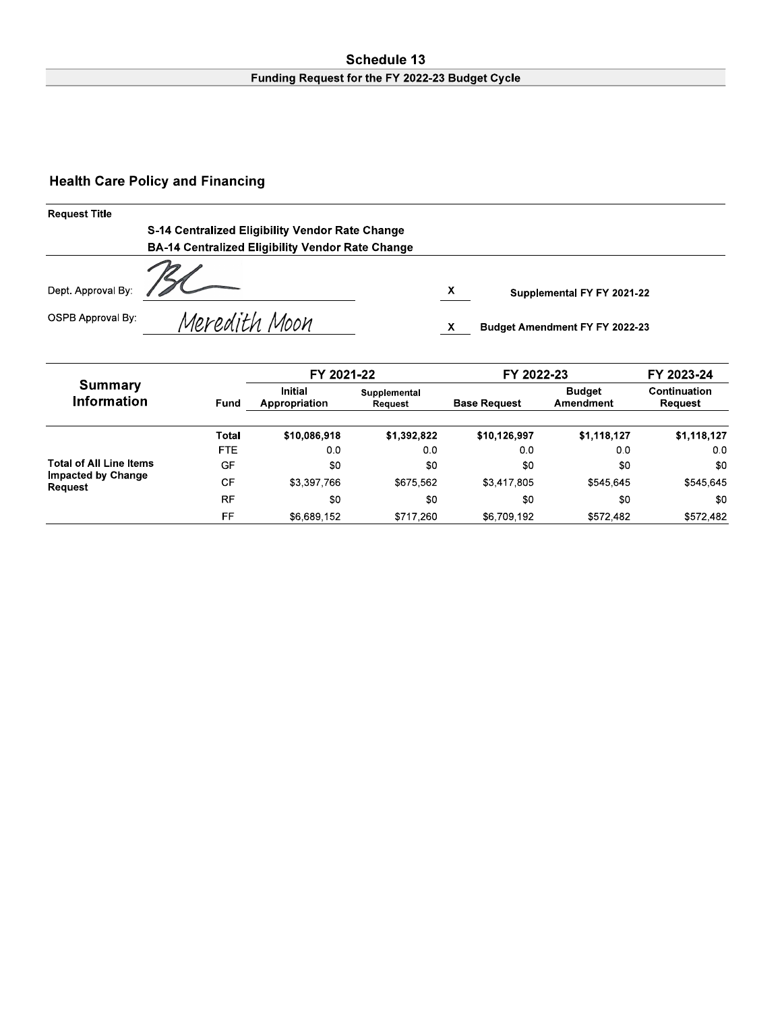#### Schedule 13 Funding Request for the FY 2022-23 Budget Cycle

### **Health Care Policy and Financing**

| <b>Request Title</b> |                                                         |    |                                |
|----------------------|---------------------------------------------------------|----|--------------------------------|
|                      | S-14 Centralized Eligibility Vendor Rate Change         |    |                                |
|                      | <b>BA-14 Centralized Eligibility Vendor Rate Change</b> |    |                                |
| Dept. Approval By:   |                                                         | X. | Supplemental FY FY 2021-22     |
| OSPB Approval By:    | Meredith Moon                                           |    | Budget Amendment FY FY 2022-23 |

|                                      |       | FY 2021-22                      |                         | FY 2022-23          | FY 2023-24                 |                         |  |
|--------------------------------------|-------|---------------------------------|-------------------------|---------------------|----------------------------|-------------------------|--|
| <b>Summary</b><br><b>Information</b> | Fund  | <b>Initial</b><br>Appropriation | Supplemental<br>Request | <b>Base Request</b> | <b>Budget</b><br>Amendment | Continuation<br>Request |  |
|                                      | Total | \$10,086,918                    | \$1,392,822             | \$10,126,997        | \$1,118,127                | \$1,118,127             |  |
|                                      | FTE.  | 0.0                             | 0.0                     | 0.0                 | 0.0                        | 0.0                     |  |
| <b>Total of All Line Items</b>       | GF    | \$0                             | \$0                     | \$0                 | \$0                        | \$0                     |  |
| <b>Impacted by Change</b><br>Request | CF    | \$3,397,766                     | \$675.562               | \$3,417,805         | \$545.645                  | \$545.645               |  |
|                                      | RF    | \$0                             | \$0                     | \$0                 | \$0                        | \$0                     |  |
|                                      | FF    | \$6,689,152                     | \$717,260               | \$6,709,192         | \$572.482                  | \$572,482               |  |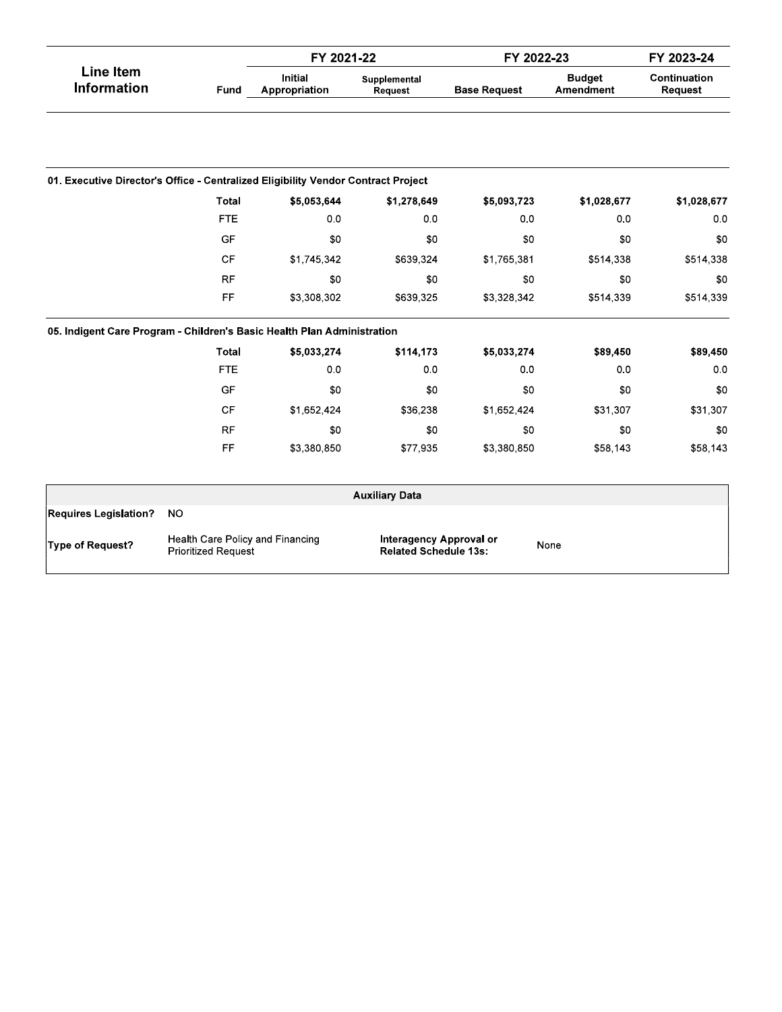|                                                                                   |                                                                | FY 2021-22                      |                                                                | FY 2022-23          | FY 2023-24                 |                         |  |
|-----------------------------------------------------------------------------------|----------------------------------------------------------------|---------------------------------|----------------------------------------------------------------|---------------------|----------------------------|-------------------------|--|
| <b>Line Item</b><br><b>Information</b>                                            | Fund                                                           | <b>Initial</b><br>Appropriation | Supplemental<br>Request                                        | <b>Base Request</b> | <b>Budget</b><br>Amendment | Continuation<br>Request |  |
|                                                                                   |                                                                |                                 |                                                                |                     |                            |                         |  |
| 01. Executive Director's Office - Centralized Eligibility Vendor Contract Project |                                                                |                                 |                                                                |                     |                            |                         |  |
|                                                                                   | <b>Total</b>                                                   | \$5,053,644                     | \$1,278,649                                                    | \$5,093,723         | \$1,028,677                | \$1,028,677             |  |
|                                                                                   | <b>FTE</b>                                                     | 0.0                             | 0 <sub>0</sub>                                                 | 0 <sub>0</sub>      | 0.0                        | 0.0                     |  |
|                                                                                   | GF                                                             | \$0                             | \$0                                                            | \$0                 | \$0                        | \$0                     |  |
|                                                                                   | <b>CF</b>                                                      | \$1,745,342                     | \$639,324                                                      | \$1,765,381         | \$514,338                  | \$514,338               |  |
|                                                                                   | <b>RF</b>                                                      | \$0                             | \$0                                                            | \$0                 | \$0                        | \$0                     |  |
|                                                                                   | FF                                                             | \$3,308,302                     | \$639,325                                                      | \$3,328,342         | \$514,339                  | \$514,339               |  |
| 05. Indigent Care Program - Children's Basic Health Plan Administration           |                                                                |                                 |                                                                |                     |                            |                         |  |
|                                                                                   | <b>Total</b>                                                   | \$5,033,274                     | \$114,173                                                      | \$5,033,274         | \$89,450                   | \$89,450                |  |
|                                                                                   | <b>FTE</b>                                                     | 0.0                             | 0 <sub>0</sub>                                                 | 0 <sub>0</sub>      | 0.0                        | 0.0                     |  |
|                                                                                   | GF                                                             | \$0                             | \$0                                                            | \$0                 | \$0                        | \$0                     |  |
|                                                                                   | <b>CF</b>                                                      | \$1,652,424                     | \$36,238                                                       | \$1,652,424         | \$31,307                   | \$31,307                |  |
|                                                                                   | <b>RF</b>                                                      | \$0                             | \$0                                                            | \$0                 | \$0                        | \$0                     |  |
|                                                                                   | FF                                                             | \$3,380,850                     | \$77,935                                                       | \$3,380,850         | \$58,143                   | \$58,143                |  |
|                                                                                   |                                                                |                                 | <b>Auxiliary Data</b>                                          |                     |                            |                         |  |
| <b>Requires Legislation?</b>                                                      | <b>NO</b>                                                      |                                 |                                                                |                     |                            |                         |  |
| Type of Request?                                                                  | Health Care Policy and Financing<br><b>Prioritized Request</b> |                                 | <b>Interagency Approval or</b><br><b>Related Schedule 13s:</b> |                     | None                       |                         |  |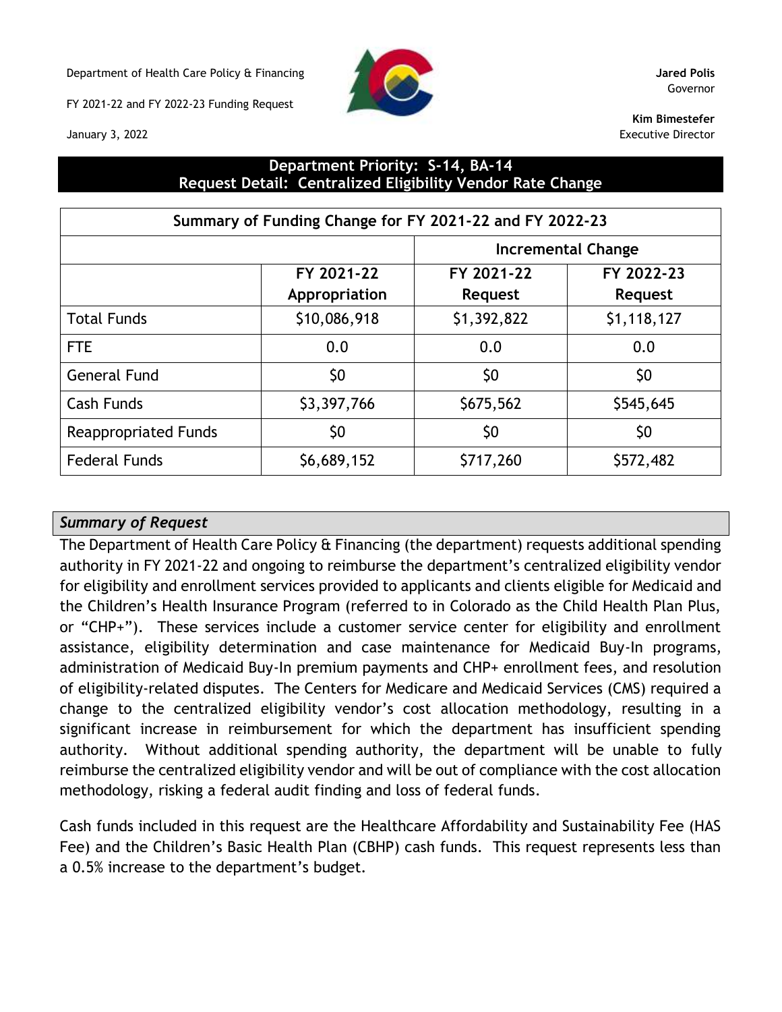Department of Health Care Policy & Financing **Jared Polis**

FY 2021-22 and FY 2022-23 Funding Request





Governor

**Kim Bimestefer** Executive Director

### **Department Priority: S-14, BA-14 Request Detail: Centralized Eligibility Vendor Rate Change**

| Summary of Funding Change for FY 2021-22 and FY 2022-23 |               |                           |             |  |  |  |  |
|---------------------------------------------------------|---------------|---------------------------|-------------|--|--|--|--|
|                                                         |               | <b>Incremental Change</b> |             |  |  |  |  |
|                                                         | FY 2021-22    | FY 2021-22                | FY 2022-23  |  |  |  |  |
|                                                         | Appropriation | <b>Request</b>            | Request     |  |  |  |  |
| <b>Total Funds</b>                                      | \$10,086,918  | \$1,392,822               | \$1,118,127 |  |  |  |  |
| <b>FTE</b>                                              | 0.0           | 0.0                       | 0.0         |  |  |  |  |
| <b>General Fund</b>                                     | \$0           | \$0                       | \$0         |  |  |  |  |
| <b>Cash Funds</b>                                       | \$3,397,766   | \$675,562                 | \$545,645   |  |  |  |  |
| <b>Reappropriated Funds</b>                             | \$0           | \$0                       | \$0         |  |  |  |  |
| <b>Federal Funds</b>                                    | \$6,689,152   | \$717,260                 | \$572,482   |  |  |  |  |

#### *Summary of Request*

The Department of Health Care Policy & Financing (the department) requests additional spending authority in FY 2021-22 and ongoing to reimburse the department's centralized eligibility vendor for eligibility and enrollment services provided to applicants and clients eligible for Medicaid and the Children's Health Insurance Program (referred to in Colorado as the Child Health Plan Plus, or "CHP+"). These services include a customer service center for eligibility and enrollment assistance, eligibility determination and case maintenance for Medicaid Buy-In programs, administration of Medicaid Buy-In premium payments and CHP+ enrollment fees, and resolution of eligibility-related disputes. The Centers for Medicare and Medicaid Services (CMS) required a change to the centralized eligibility vendor's cost allocation methodology, resulting in a significant increase in reimbursement for which the department has insufficient spending authority. Without additional spending authority, the department will be unable to fully reimburse the centralized eligibility vendor and will be out of compliance with the cost allocation methodology, risking a federal audit finding and loss of federal funds.

Cash funds included in this request are the Healthcare Affordability and Sustainability Fee (HAS Fee) and the Children's Basic Health Plan (CBHP) cash funds. This request represents less than a 0.5% increase to the department's budget.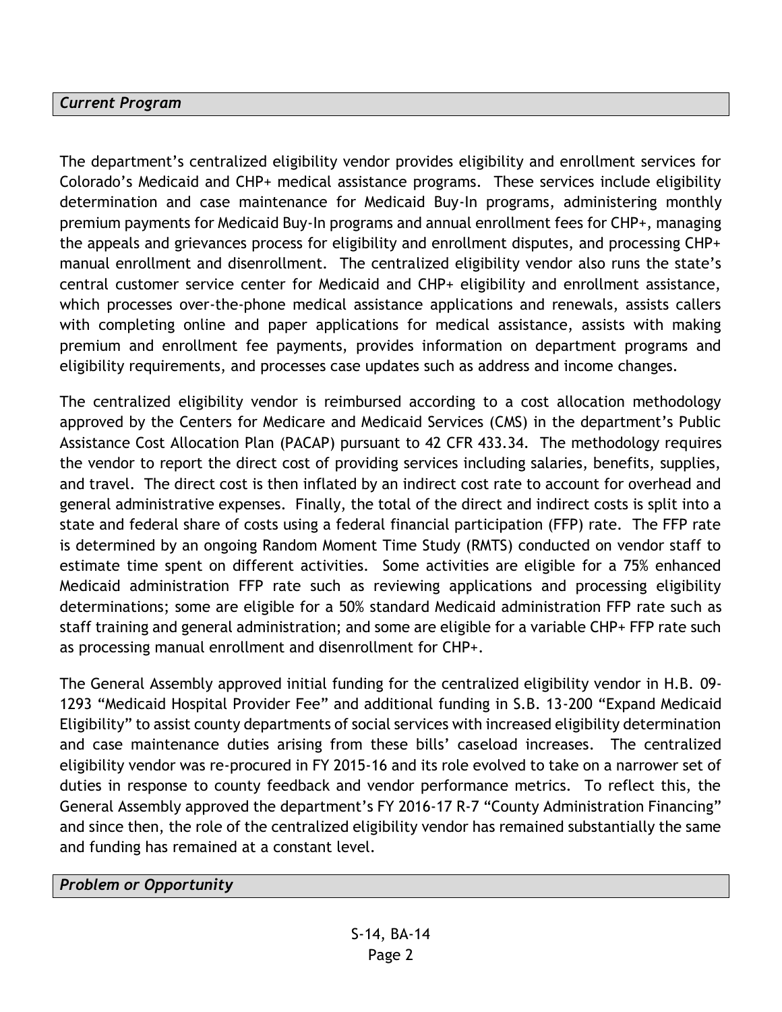#### *Current Program*

The department's centralized eligibility vendor provides eligibility and enrollment services for Colorado's Medicaid and CHP+ medical assistance programs. These services include eligibility determination and case maintenance for Medicaid Buy-In programs, administering monthly premium payments for Medicaid Buy-In programs and annual enrollment fees for CHP+, managing the appeals and grievances process for eligibility and enrollment disputes, and processing CHP+ manual enrollment and disenrollment. The centralized eligibility vendor also runs the state's central customer service center for Medicaid and CHP+ eligibility and enrollment assistance, which processes over-the-phone medical assistance applications and renewals, assists callers with completing online and paper applications for medical assistance, assists with making premium and enrollment fee payments, provides information on department programs and eligibility requirements, and processes case updates such as address and income changes.

The centralized eligibility vendor is reimbursed according to a cost allocation methodology approved by the Centers for Medicare and Medicaid Services (CMS) in the department's Public Assistance Cost Allocation Plan (PACAP) pursuant to 42 CFR 433.34. The methodology requires the vendor to report the direct cost of providing services including salaries, benefits, supplies, and travel. The direct cost is then inflated by an indirect cost rate to account for overhead and general administrative expenses. Finally, the total of the direct and indirect costs is split into a state and federal share of costs using a federal financial participation (FFP) rate. The FFP rate is determined by an ongoing Random Moment Time Study (RMTS) conducted on vendor staff to estimate time spent on different activities. Some activities are eligible for a 75% enhanced Medicaid administration FFP rate such as reviewing applications and processing eligibility determinations; some are eligible for a 50% standard Medicaid administration FFP rate such as staff training and general administration; and some are eligible for a variable CHP+ FFP rate such as processing manual enrollment and disenrollment for CHP+.

The General Assembly approved initial funding for the centralized eligibility vendor in H.B. 09- 1293 "Medicaid Hospital Provider Fee" and additional funding in S.B. 13-200 "Expand Medicaid Eligibility" to assist county departments of social services with increased eligibility determination and case maintenance duties arising from these bills' caseload increases. The centralized eligibility vendor was re-procured in FY 2015-16 and its role evolved to take on a narrower set of duties in response to county feedback and vendor performance metrics. To reflect this, the General Assembly approved the department's FY 2016-17 R-7 "County Administration Financing" and since then, the role of the centralized eligibility vendor has remained substantially the same and funding has remained at a constant level.

*Problem or Opportunity*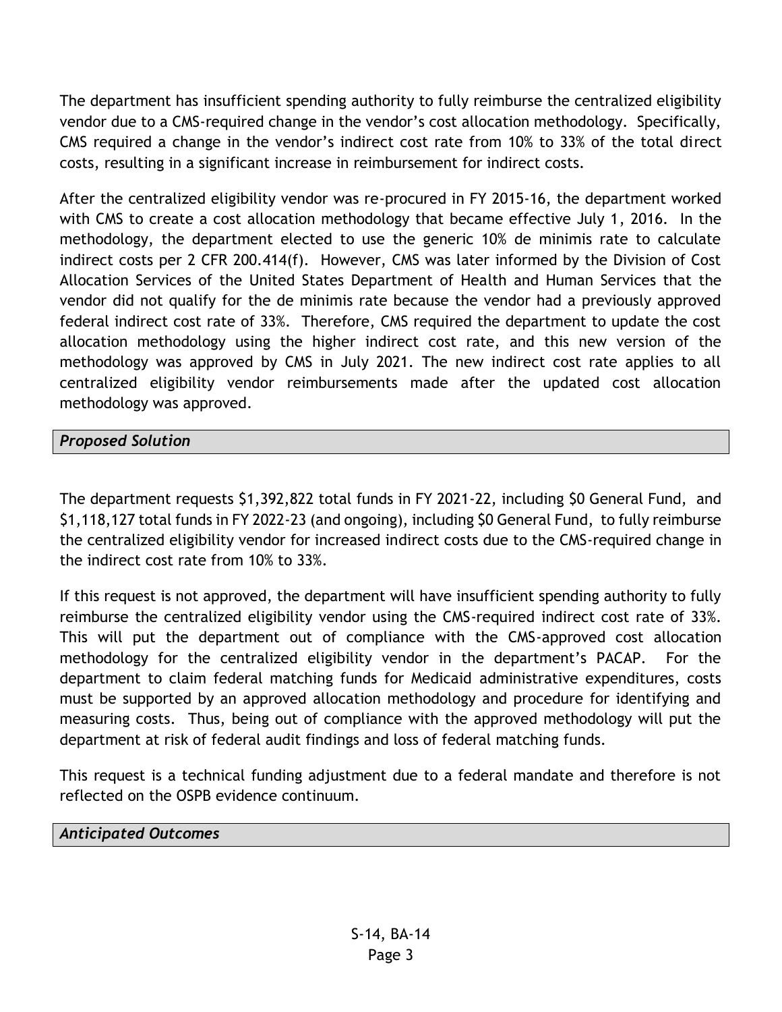The department has insufficient spending authority to fully reimburse the centralized eligibility vendor due to a CMS-required change in the vendor's cost allocation methodology. Specifically, CMS required a change in the vendor's indirect cost rate from 10% to 33% of the total direct costs, resulting in a significant increase in reimbursement for indirect costs.

After the centralized eligibility vendor was re-procured in FY 2015-16, the department worked with CMS to create a cost allocation methodology that became effective July 1, 2016. In the methodology, the department elected to use the generic 10% de minimis rate to calculate indirect costs per 2 CFR 200.414(f). However, CMS was later informed by the Division of Cost Allocation Services of the United States Department of Health and Human Services that the vendor did not qualify for the de minimis rate because the vendor had a previously approved federal indirect cost rate of 33%. Therefore, CMS required the department to update the cost allocation methodology using the higher indirect cost rate, and this new version of the methodology was approved by CMS in July 2021. The new indirect cost rate applies to all centralized eligibility vendor reimbursements made after the updated cost allocation methodology was approved.

## *Proposed Solution*

The department requests \$1,392,822 total funds in FY 2021-22, including \$0 General Fund, and \$1,118,127 total funds in FY 2022-23 (and ongoing), including \$0 General Fund, to fully reimburse the centralized eligibility vendor for increased indirect costs due to the CMS-required change in the indirect cost rate from 10% to 33%.

If this request is not approved, the department will have insufficient spending authority to fully reimburse the centralized eligibility vendor using the CMS-required indirect cost rate of 33%. This will put the department out of compliance with the CMS-approved cost allocation methodology for the centralized eligibility vendor in the department's PACAP. For the department to claim federal matching funds for Medicaid administrative expenditures, costs must be supported by an approved allocation methodology and procedure for identifying and measuring costs. Thus, being out of compliance with the approved methodology will put the department at risk of federal audit findings and loss of federal matching funds.

This request is a technical funding adjustment due to a federal mandate and therefore is not reflected on the OSPB evidence continuum.

#### *Anticipated Outcomes*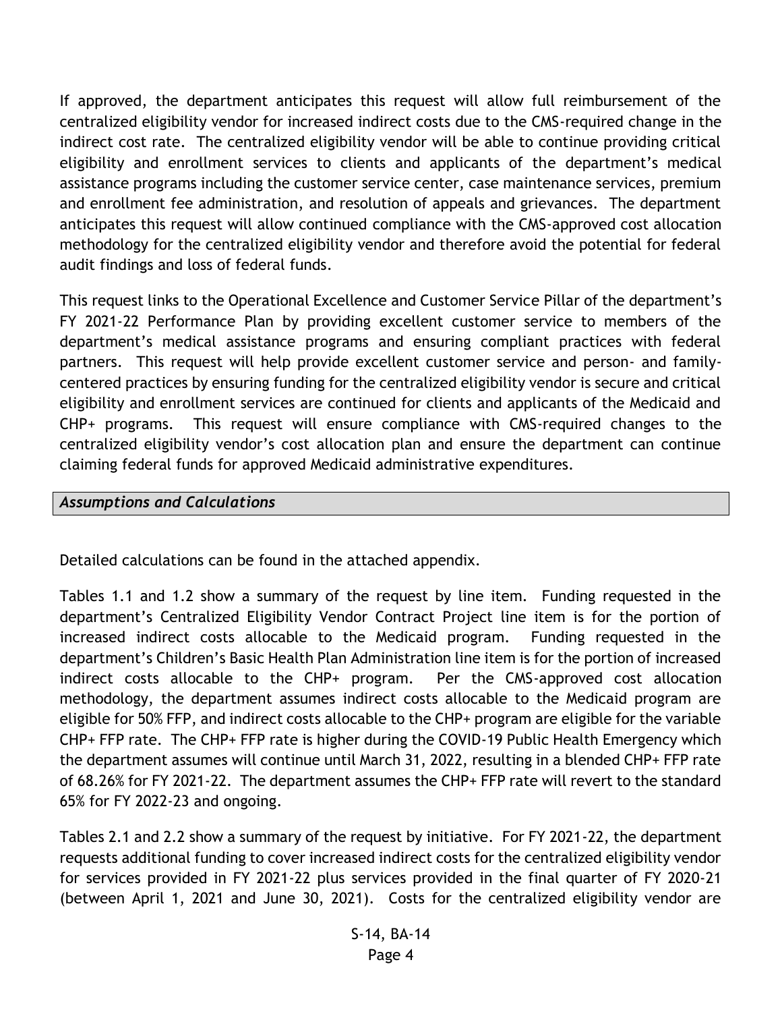If approved, the department anticipates this request will allow full reimbursement of the centralized eligibility vendor for increased indirect costs due to the CMS-required change in the indirect cost rate. The centralized eligibility vendor will be able to continue providing critical eligibility and enrollment services to clients and applicants of the department's medical assistance programs including the customer service center, case maintenance services, premium and enrollment fee administration, and resolution of appeals and grievances. The department anticipates this request will allow continued compliance with the CMS-approved cost allocation methodology for the centralized eligibility vendor and therefore avoid the potential for federal audit findings and loss of federal funds.

This request links to the Operational Excellence and Customer Service Pillar of the department's FY 2021-22 Performance Plan by providing excellent customer service to members of the department's medical assistance programs and ensuring compliant practices with federal partners. This request will help provide excellent customer service and person- and familycentered practices by ensuring funding for the centralized eligibility vendor is secure and critical eligibility and enrollment services are continued for clients and applicants of the Medicaid and CHP+ programs. This request will ensure compliance with CMS-required changes to the centralized eligibility vendor's cost allocation plan and ensure the department can continue claiming federal funds for approved Medicaid administrative expenditures.

#### *Assumptions and Calculations*

Detailed calculations can be found in the attached appendix.

Tables 1.1 and 1.2 show a summary of the request by line item. Funding requested in the department's Centralized Eligibility Vendor Contract Project line item is for the portion of increased indirect costs allocable to the Medicaid program. Funding requested in the department's Children's Basic Health Plan Administration line item is for the portion of increased indirect costs allocable to the CHP+ program. Per the CMS-approved cost allocation methodology, the department assumes indirect costs allocable to the Medicaid program are eligible for 50% FFP, and indirect costs allocable to the CHP+ program are eligible for the variable CHP+ FFP rate. The CHP+ FFP rate is higher during the COVID-19 Public Health Emergency which the department assumes will continue until March 31, 2022, resulting in a blended CHP+ FFP rate of 68.26% for FY 2021-22. The department assumes the CHP+ FFP rate will revert to the standard 65% for FY 2022-23 and ongoing.

Tables 2.1 and 2.2 show a summary of the request by initiative. For FY 2021-22, the department requests additional funding to cover increased indirect costs for the centralized eligibility vendor for services provided in FY 2021-22 plus services provided in the final quarter of FY 2020-21 (between April 1, 2021 and June 30, 2021). Costs for the centralized eligibility vendor are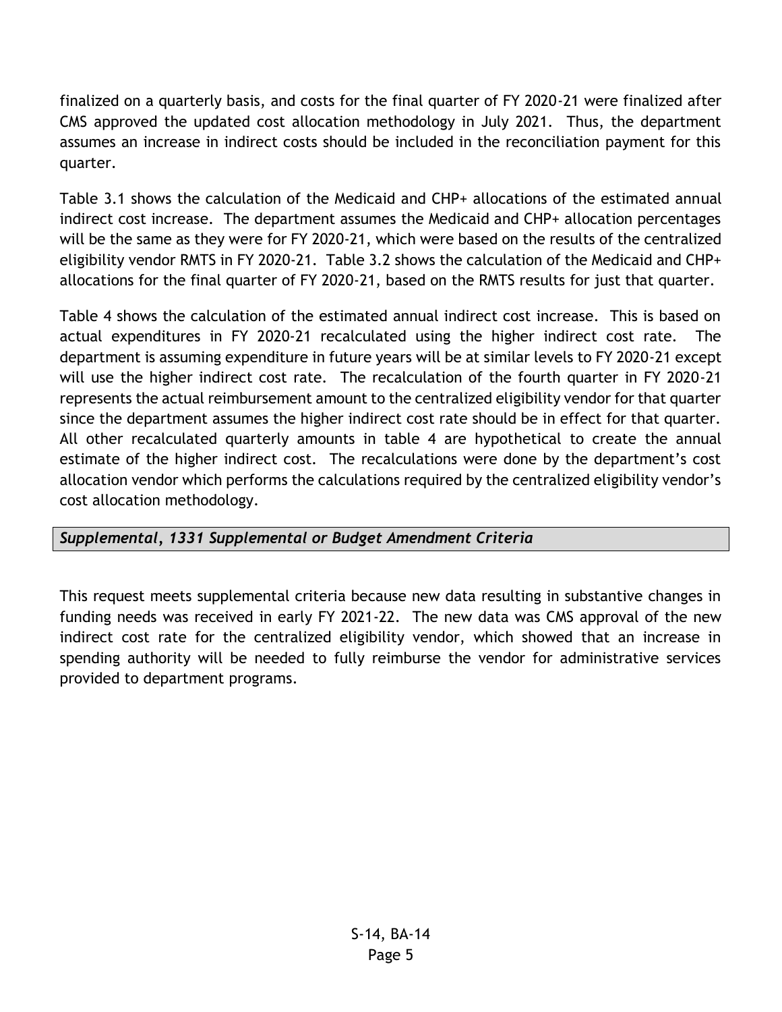finalized on a quarterly basis, and costs for the final quarter of FY 2020-21 were finalized after CMS approved the updated cost allocation methodology in July 2021. Thus, the department assumes an increase in indirect costs should be included in the reconciliation payment for this quarter.

Table 3.1 shows the calculation of the Medicaid and CHP+ allocations of the estimated annual indirect cost increase. The department assumes the Medicaid and CHP+ allocation percentages will be the same as they were for FY 2020-21, which were based on the results of the centralized eligibility vendor RMTS in FY 2020-21. Table 3.2 shows the calculation of the Medicaid and CHP+ allocations for the final quarter of FY 2020-21, based on the RMTS results for just that quarter.

Table 4 shows the calculation of the estimated annual indirect cost increase. This is based on actual expenditures in FY 2020-21 recalculated using the higher indirect cost rate. The department is assuming expenditure in future years will be at similar levels to FY 2020-21 except will use the higher indirect cost rate. The recalculation of the fourth quarter in FY 2020-21 represents the actual reimbursement amount to the centralized eligibility vendor for that quarter since the department assumes the higher indirect cost rate should be in effect for that quarter. All other recalculated quarterly amounts in table 4 are hypothetical to create the annual estimate of the higher indirect cost. The recalculations were done by the department's cost allocation vendor which performs the calculations required by the centralized eligibility vendor's cost allocation methodology.

## *Supplemental, 1331 Supplemental or Budget Amendment Criteria*

This request meets supplemental criteria because new data resulting in substantive changes in funding needs was received in early FY 2021-22. The new data was CMS approval of the new indirect cost rate for the centralized eligibility vendor, which showed that an increase in spending authority will be needed to fully reimburse the vendor for administrative services provided to department programs.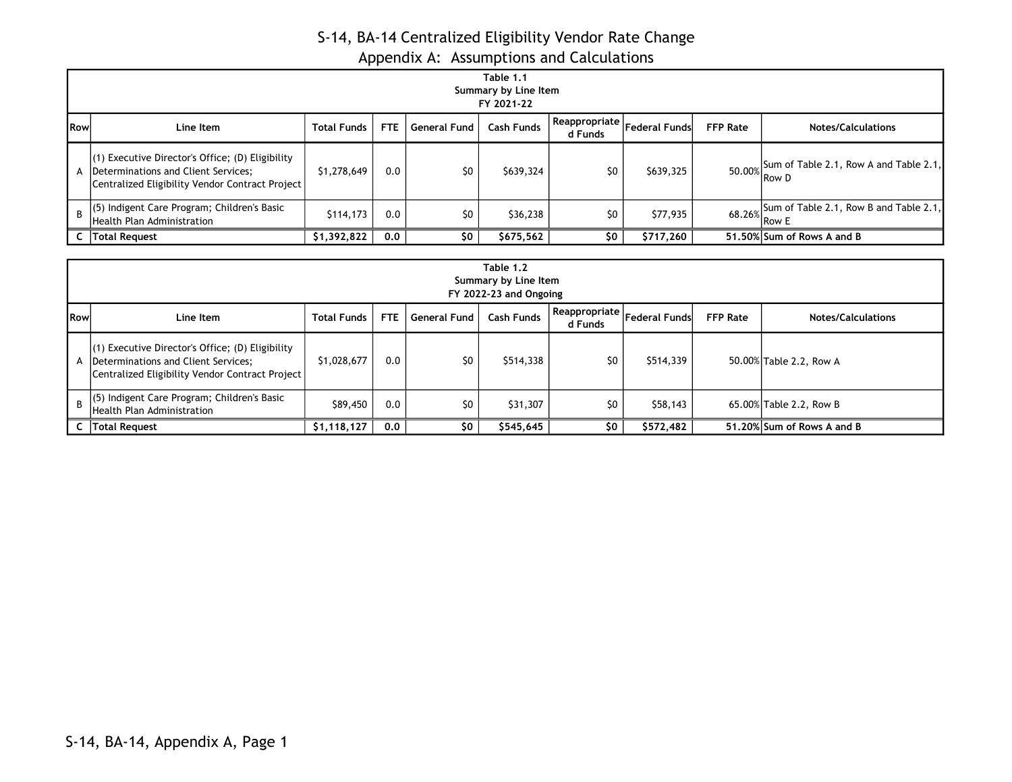|              | . .<br>Table 1.1<br>Summary by Line Item                                                                                                        |                    |            |              |                   |                            |                      |                 |                                                        |  |
|--------------|-------------------------------------------------------------------------------------------------------------------------------------------------|--------------------|------------|--------------|-------------------|----------------------------|----------------------|-----------------|--------------------------------------------------------|--|
|              | FY 2021-22                                                                                                                                      |                    |            |              |                   |                            |                      |                 |                                                        |  |
| <b>I</b> Row | Line Item                                                                                                                                       | <b>Total Funds</b> | <b>FTE</b> | General Fund | <b>Cash Funds</b> | Reappropriate  <br>d Funds | <b>Federal Funds</b> | <b>FFP Rate</b> | <b>Notes/Calculations</b>                              |  |
|              | $(1)$ Executive Director's Office; (D) Eligibility<br>A  Determinations and Client Services;<br>Centralized Eligibility Vendor Contract Project | \$1,278,649        | 0.0        | \$0          | \$639,324         | \$0                        | \$639,325            |                 | $50.00\%$ Sum of Table 2.1, Row A and Table 2.1, Row D |  |
| <sub>R</sub> | (5) Indigent Care Program; Children's Basic<br><b>Health Plan Administration</b>                                                                | \$114,173          | 0.0        | \$0          | \$36,238          | \$0                        | \$77,935             |                 | 68.26% Sum of Table 2.1, Row B and Table 2.1,          |  |
|              | Total Request                                                                                                                                   | \$1,392,822        | 0.0        | \$0          | \$675,562         | \$0                        | \$717,260            |                 | 51,50% Sum of Rows A and B                             |  |

|               | Table 1.2<br>Summary by Line Item<br>FY 2022-23 and Ongoing                                                                                                                  |             |     |     |           |     |           |  |                            |  |
|---------------|------------------------------------------------------------------------------------------------------------------------------------------------------------------------------|-------------|-----|-----|-----------|-----|-----------|--|----------------------------|--|
| <b>I</b> Rowl | Reappropriate Federal Funds<br><b>FFP Rate</b><br>Cash Funds<br><b>FTE</b><br><b>General Fund</b><br><b>Total Funds</b><br>Line Item<br><b>Notes/Calculations</b><br>d Funds |             |     |     |           |     |           |  |                            |  |
|               | $(1)$ Executive Director's Office; (D) Eligibility<br>A  Determinations and Client Services;<br>Centralized Eligibility Vendor Contract Project                              | \$1,028,677 | 0.0 | \$0 | \$514,338 | \$0 | \$514,339 |  | 50.00% Table 2.2, Row A    |  |
|               | $\begin{bmatrix} 1 & 2 \\ 3 & 4 \end{bmatrix}$ (5) Indigent Care Program; Children's Basic<br>Health Plan Administration                                                     | \$89,450    | 0.0 | \$0 | \$31,307  | \$0 | \$58,143  |  | 65.00% Table 2.2, Row B    |  |
|               | C   Total Request                                                                                                                                                            | \$1,118,127 | 0.0 | \$0 | \$545,645 | \$0 | \$572,482 |  | 51.20% Sum of Rows A and B |  |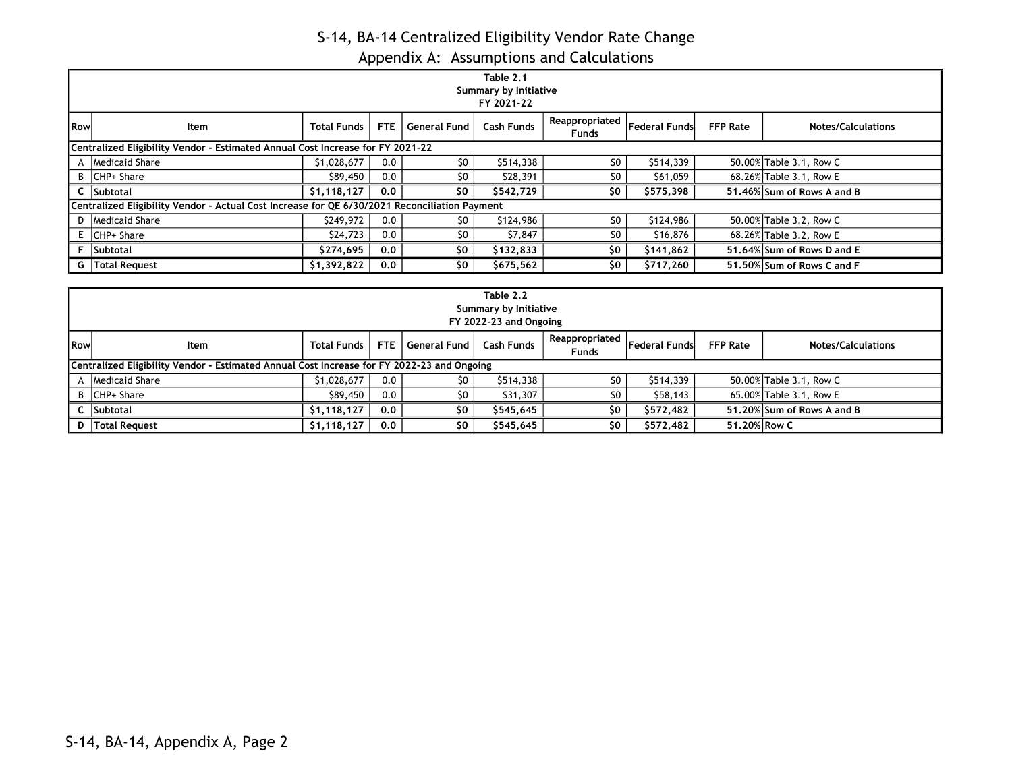|               | Table 2.1<br>Summary by Initiative<br>FY 2021-22                                              |                    |            |                     |                   |                                |                      |                 |                            |  |
|---------------|-----------------------------------------------------------------------------------------------|--------------------|------------|---------------------|-------------------|--------------------------------|----------------------|-----------------|----------------------------|--|
| <b>I</b> Rowl | Item                                                                                          | <b>Total Funds</b> | <b>FTE</b> | <b>General Fund</b> | <b>Cash Funds</b> | Reappropriated<br><b>Funds</b> | <b>Federal Funds</b> | <b>FFP Rate</b> | <b>Notes/Calculations</b>  |  |
|               | Centralized Eligibility Vendor - Estimated Annual Cost Increase for FY 2021-22                |                    |            |                     |                   |                                |                      |                 |                            |  |
|               | A Medicaid Share                                                                              | \$1,028,677        | 0.0        | \$0                 | \$514,338         | \$0                            | \$514,339            |                 | 50.00% Table 3.1, Row C    |  |
|               | B   CHP+ Share                                                                                | \$89,450           | 0.0        | \$0                 | \$28,391          | S0                             | \$61,059             |                 | 68.26% Table 3.1, Row E    |  |
|               | C Subtotal                                                                                    | \$1,118,127        | 0.0        | \$0                 | \$542,729         | \$0                            | \$575,398            |                 | 51.46% Sum of Rows A and B |  |
|               | Centralized Eligibility Vendor - Actual Cost Increase for QE 6/30/2021 Reconciliation Payment |                    |            |                     |                   |                                |                      |                 |                            |  |
|               | D   Medicaid Share                                                                            | \$249,972          | 0.0        | \$0                 | \$124,986         | \$0                            | \$124,986            |                 | 50.00% Table 3.2, Row C    |  |
|               | $E$ CHP+ Share                                                                                | \$24,723           | 0.0        | \$0                 | \$7,847           | \$0                            | \$16,876             |                 | 68.26% Table 3.2, Row E    |  |
|               | F Subtotal                                                                                    | \$274.695          | 0.0        | \$0                 | \$132,833         | \$0                            | \$141,862            |                 | 51.64% Sum of Rows D and E |  |
|               | G   Total Request                                                                             | \$1,392,822        | 0.0        | \$0                 | \$675,562         | \$0                            | \$717.260            |                 | 51,50% Sum of Rows C and F |  |

|              | Table 2.2<br>Summary by Initiative<br>FY 2022-23 and Ongoing                               |                    |       |              |                   |                                |               |                 |                            |  |
|--------------|--------------------------------------------------------------------------------------------|--------------------|-------|--------------|-------------------|--------------------------------|---------------|-----------------|----------------------------|--|
| <b>IRowl</b> | Item                                                                                       | <b>Total Funds</b> | FTE I | General Fund | <b>Cash Funds</b> | Reappropriated<br><b>Funds</b> | Federal Funds | <b>FFP Rate</b> | <b>Notes/Calculations</b>  |  |
|              | Centralized Eligibility Vendor - Estimated Annual Cost Increase for FY 2022-23 and Ongoing |                    |       |              |                   |                                |               |                 |                            |  |
|              | A Medicaid Share                                                                           | \$1,028,677        | 0.0   | \$0          | \$514,338         | S0                             | \$514,339     |                 | 50.00% Table 3.1, Row C    |  |
|              | B CHP+ Share                                                                               | \$89,450           | 0.0   | \$0          | \$31,307          | SO.                            | \$58,143      |                 | 65.00% Table 3.1, Row E    |  |
|              | C Subtotal                                                                                 | \$1,118,127        | 0.0   | \$0          | \$545,645         | \$0                            | \$572,482     |                 | 51.20% Sum of Rows A and B |  |
|              | D   Total Request                                                                          | \$1,118,127        | 0.0   | \$0          | \$545,645         | \$0                            | \$572,482     | 51.20% Row C    |                            |  |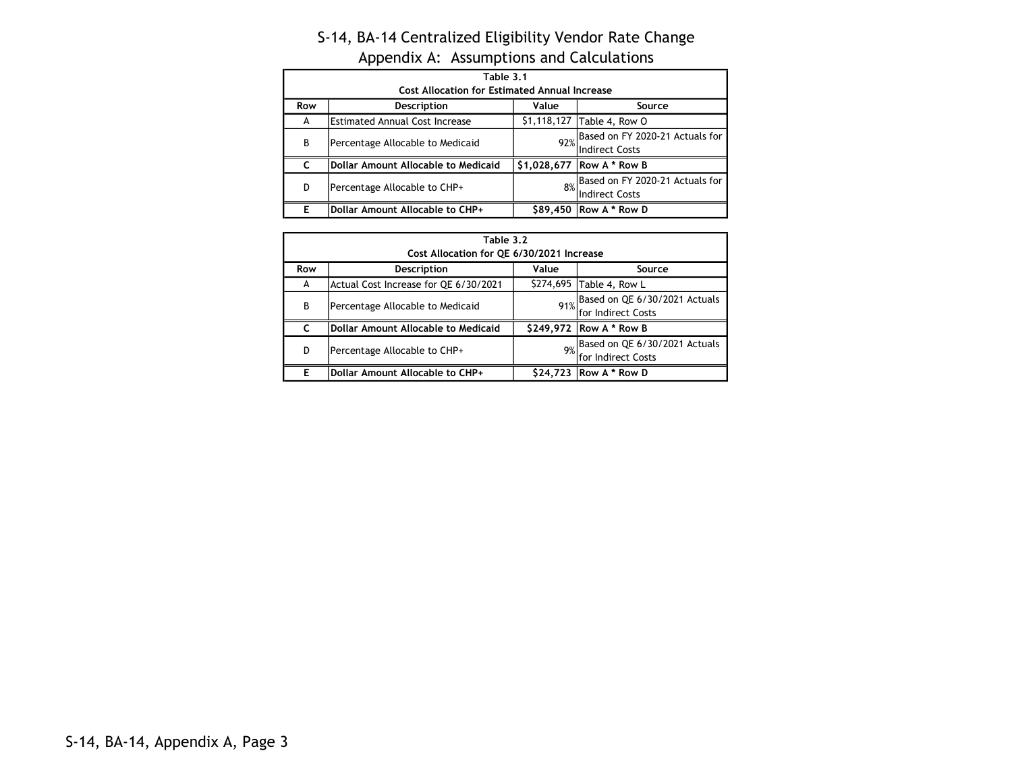|     | Table 3.1<br><b>Cost Allocation for Estimated Annual Increase</b> |             |                                                              |  |  |  |  |  |  |
|-----|-------------------------------------------------------------------|-------------|--------------------------------------------------------------|--|--|--|--|--|--|
| Row | Description                                                       | Value       | Source                                                       |  |  |  |  |  |  |
| A   | <b>Estimated Annual Cost Increase</b>                             |             | \$1,118,127 Table 4, Row O                                   |  |  |  |  |  |  |
| В   | Percentage Allocable to Medicaid                                  |             | 92% Based on FY 2020-21 Actuals for<br><b>Indirect Costs</b> |  |  |  |  |  |  |
|     | Dollar Amount Allocable to Medicaid                               | \$1,028,677 | <b>Row A * Row B</b>                                         |  |  |  |  |  |  |
| D   | Percentage Allocable to CHP+                                      | 8%          | Based on FY 2020-21 Actuals for<br><b>Indirect Costs</b>     |  |  |  |  |  |  |
| Е   | Dollar Amount Allocable to CHP+                                   |             | \$89,450   Row A * Row D                                     |  |  |  |  |  |  |

|     | Table 3.2                                  |          |                                                          |  |  |  |  |  |  |
|-----|--------------------------------------------|----------|----------------------------------------------------------|--|--|--|--|--|--|
|     | Cost Allocation for QE 6/30/2021 Increase  |          |                                                          |  |  |  |  |  |  |
| Row | <b>Description</b>                         | Value    | Source                                                   |  |  |  |  |  |  |
| A   | Actual Cost Increase for QE 6/30/2021      |          | \$274,695 Table 4, Row L                                 |  |  |  |  |  |  |
| B   | Percentage Allocable to Medicaid           |          | 91% Based on QE 6/30/2021 Actuals<br>lfor Indirect Costs |  |  |  |  |  |  |
|     | <b>Dollar Amount Allocable to Medicaid</b> |          | \$249,972   Row A * Row B                                |  |  |  |  |  |  |
| D   | Percentage Allocable to CHP+               | 9%       | Based on QE 6/30/2021 Actuals<br>lfor Indirect Costs     |  |  |  |  |  |  |
| F   | Dollar Amount Allocable to CHP+            | \$24,723 | <b>Row A * Row D</b>                                     |  |  |  |  |  |  |